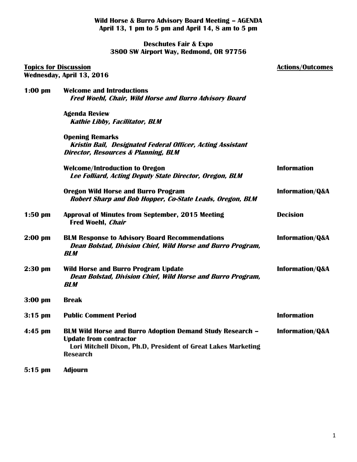**Wild Horse & Burro Advisory Board Meeting – AGENDA April 13, 1 pm to 5 pm and April 14, 8 am to 5 pm**

**Deschutes Fair & Expo 3800 SW Airport Way, Redmond, OR 97756**

| <b>Topics for Discussion</b><br>Wednesday, April 13, 2016 |                                                                                                                                                                                       | <b>Actions/Outcomes</b>    |
|-----------------------------------------------------------|---------------------------------------------------------------------------------------------------------------------------------------------------------------------------------------|----------------------------|
|                                                           |                                                                                                                                                                                       |                            |
|                                                           | <b>Agenda Review</b><br><b>Kathie Libby, Facilitator, BLM</b>                                                                                                                         |                            |
|                                                           | <b>Opening Remarks</b><br>Kristin Bail, Designated Federal Officer, Acting Assistant<br><b>Director, Resources &amp; Planning, BLM</b>                                                |                            |
|                                                           | <b>Welcome/Introduction to Oregon</b><br>Lee Folliard, Acting Deputy State Director, Oregon, BLM                                                                                      | <b>Information</b>         |
|                                                           | <b>Oregon Wild Horse and Burro Program</b><br>Robert Sharp and Bob Hopper, Co-State Leads, Oregon, BLM                                                                                | <b>Information/Q&amp;A</b> |
| $1:50$ pm                                                 | <b>Approval of Minutes from September, 2015 Meeting</b><br><b>Fred Woehl, Chair</b>                                                                                                   | <b>Decision</b>            |
| $2:00$ pm                                                 | <b>BLM Response to Advisory Board Recommendations</b><br>Dean Bolstad, Division Chief, Wild Horse and Burro Program,<br><b>BLM</b>                                                    | <b>Information/Q&amp;A</b> |
| $2:30$ pm                                                 | <b>Wild Horse and Burro Program Update</b><br>Dean Bolstad, Division Chief, Wild Horse and Burro Program,<br><b>BLM</b>                                                               | <b>Information/Q&amp;A</b> |
| $3:00$ pm                                                 | <b>Break</b>                                                                                                                                                                          |                            |
| $3:15$ pm                                                 | <b>Public Comment Period</b>                                                                                                                                                          | <b>Information</b>         |
| $4:45$ pm                                                 | <b>BLM Wild Horse and Burro Adoption Demand Study Research -</b><br><b>Update from contractor</b><br>Lori Mitchell Dixon, Ph.D, President of Great Lakes Marketing<br><b>Research</b> | Information/Q&A            |
| $5:15$ pm                                                 | <b>Adjourn</b>                                                                                                                                                                        |                            |